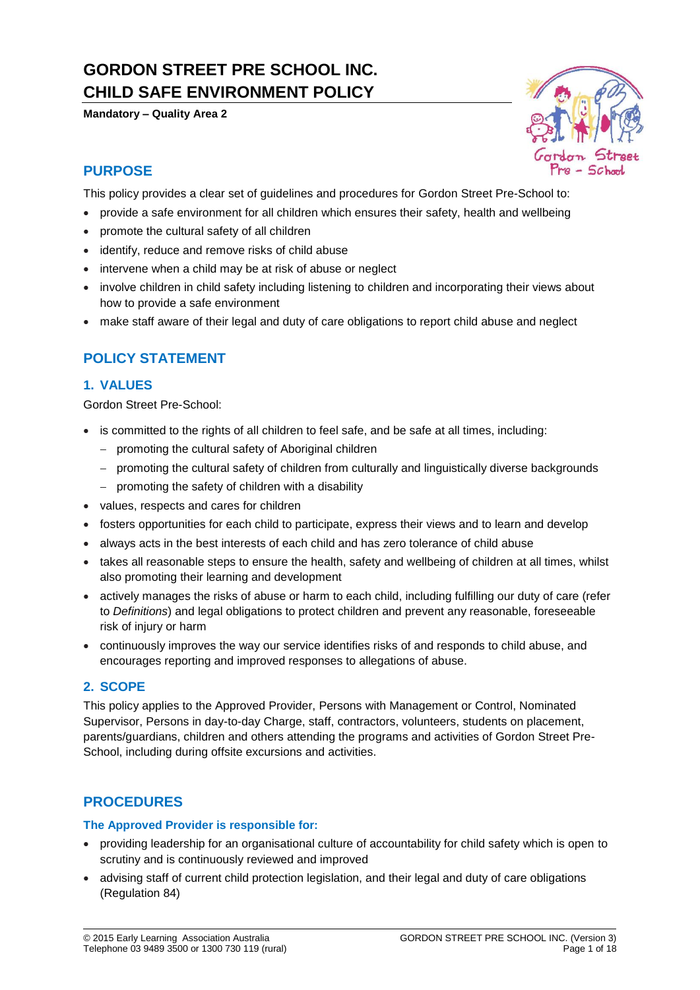# **GORDON STREET PRE SCHOOL INC. CHILD SAFE ENVIRONMENT POLICY**

**Mandatory – Quality Area 2**



## **PURPOSE**

This policy provides a clear set of guidelines and procedures for Gordon Street Pre-School to:

- provide a safe environment for all children which ensures their safety, health and wellbeing
- promote the cultural safety of all children
- identify, reduce and remove risks of child abuse
- intervene when a child may be at risk of abuse or neglect
- involve children in child safety including listening to children and incorporating their views about how to provide a safe environment
- make staff aware of their legal and duty of care obligations to report child abuse and neglect

## **POLICY STATEMENT**

## **1. VALUES**

Gordon Street Pre-School:

- is committed to the rights of all children to feel safe, and be safe at all times, including:
	- − promoting the cultural safety of Aboriginal children
	- − promoting the cultural safety of children from culturally and linguistically diverse backgrounds
	- − promoting the safety of children with a disability
- values, respects and cares for children
- fosters opportunities for each child to participate, express their views and to learn and develop
- always acts in the best interests of each child and has zero tolerance of child abuse
- takes all reasonable steps to ensure the health, safety and wellbeing of children at all times, whilst also promoting their learning and development
- actively manages the risks of abuse or harm to each child, including fulfilling our duty of care (refer to *Definitions*) and legal obligations to protect children and prevent any reasonable, foreseeable risk of injury or harm
- continuously improves the way our service identifies risks of and responds to child abuse, and encourages reporting and improved responses to allegations of abuse.

## **2. SCOPE**

This policy applies to the Approved Provider, Persons with Management or Control, Nominated Supervisor, Persons in day-to-day Charge, staff, contractors, volunteers, students on placement, parents/guardians, children and others attending the programs and activities of Gordon Street Pre-School, including during offsite excursions and activities.

## **PROCEDURES**

#### **The Approved Provider is responsible for:**

- providing leadership for an organisational culture of accountability for child safety which is open to scrutiny and is continuously reviewed and improved
- advising staff of current child protection legislation, and their legal and duty of care obligations (Regulation 84)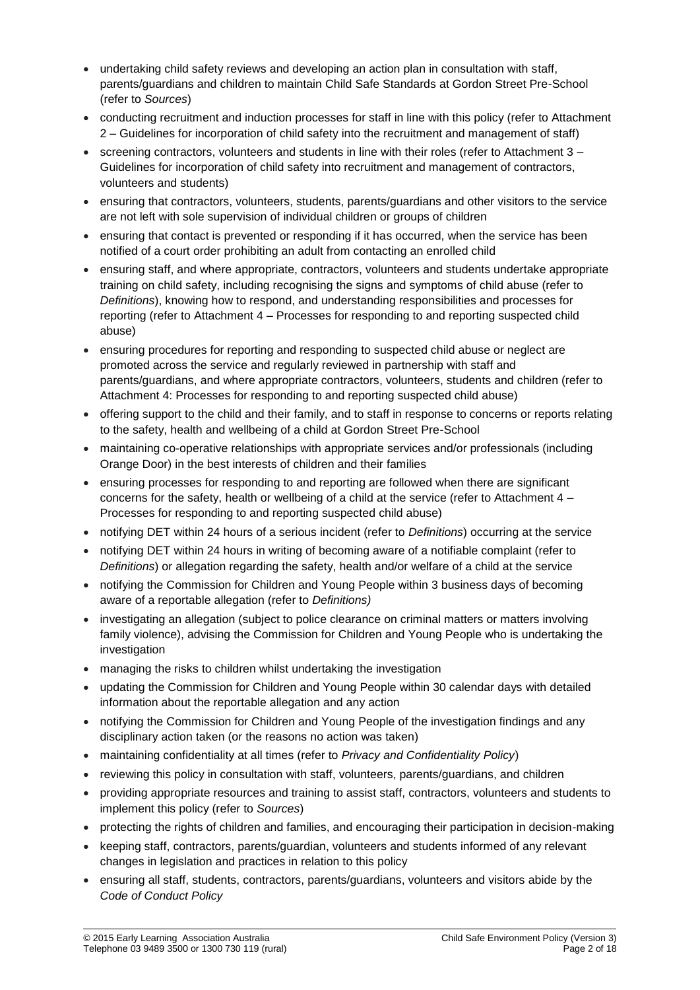- undertaking child safety reviews and developing an action plan in consultation with staff, parents/guardians and children to maintain Child Safe Standards at Gordon Street Pre-School (refer to *Sources*)
- conducting recruitment and induction processes for staff in line with this policy (refer to Attachment 2 – Guidelines for incorporation of child safety into the recruitment and management of staff)
- screening contractors, volunteers and students in line with their roles (refer to Attachment  $3 -$ Guidelines for incorporation of child safety into recruitment and management of contractors, volunteers and students)
- ensuring that contractors, volunteers, students, parents/guardians and other visitors to the service are not left with sole supervision of individual children or groups of children
- ensuring that contact is prevented or responding if it has occurred, when the service has been notified of a court order prohibiting an adult from contacting an enrolled child
- ensuring staff, and where appropriate, contractors, volunteers and students undertake appropriate training on child safety, including recognising the signs and symptoms of child abuse (refer to *Definitions*), knowing how to respond, and understanding responsibilities and processes for reporting (refer to Attachment 4 – Processes for responding to and reporting suspected child abuse)
- ensuring procedures for reporting and responding to suspected child abuse or neglect are promoted across the service and regularly reviewed in partnership with staff and parents/guardians, and where appropriate contractors, volunteers, students and children (refer to Attachment 4: Processes for responding to and reporting suspected child abuse)
- offering support to the child and their family, and to staff in response to concerns or reports relating to the safety, health and wellbeing of a child at Gordon Street Pre-School
- maintaining co-operative relationships with appropriate services and/or professionals (including Orange Door) in the best interests of children and their families
- ensuring processes for responding to and reporting are followed when there are significant concerns for the safety, health or wellbeing of a child at the service (refer to Attachment 4 – Processes for responding to and reporting suspected child abuse)
- notifying DET within 24 hours of a serious incident (refer to *Definitions*) occurring at the service
- notifying DET within 24 hours in writing of becoming aware of a notifiable complaint (refer to *Definitions*) or allegation regarding the safety, health and/or welfare of a child at the service
- notifying the Commission for Children and Young People within 3 business days of becoming aware of a reportable allegation (refer to *Definitions)*
- investigating an allegation (subject to police clearance on criminal matters or matters involving family violence), advising the Commission for Children and Young People who is undertaking the investigation
- managing the risks to children whilst undertaking the investigation
- updating the Commission for Children and Young People within 30 calendar days with detailed information about the reportable allegation and any action
- notifying the Commission for Children and Young People of the investigation findings and any disciplinary action taken (or the reasons no action was taken)
- maintaining confidentiality at all times (refer to *Privacy and Confidentiality Policy*)
- reviewing this policy in consultation with staff, volunteers, parents/guardians, and children
- providing appropriate resources and training to assist staff, contractors, volunteers and students to implement this policy (refer to *Sources*)
- protecting the rights of children and families, and encouraging their participation in decision-making
- keeping staff, contractors, parents/guardian, volunteers and students informed of any relevant changes in legislation and practices in relation to this policy
- ensuring all staff, students, contractors, parents/guardians, volunteers and visitors abide by the *Code of Conduct Policy*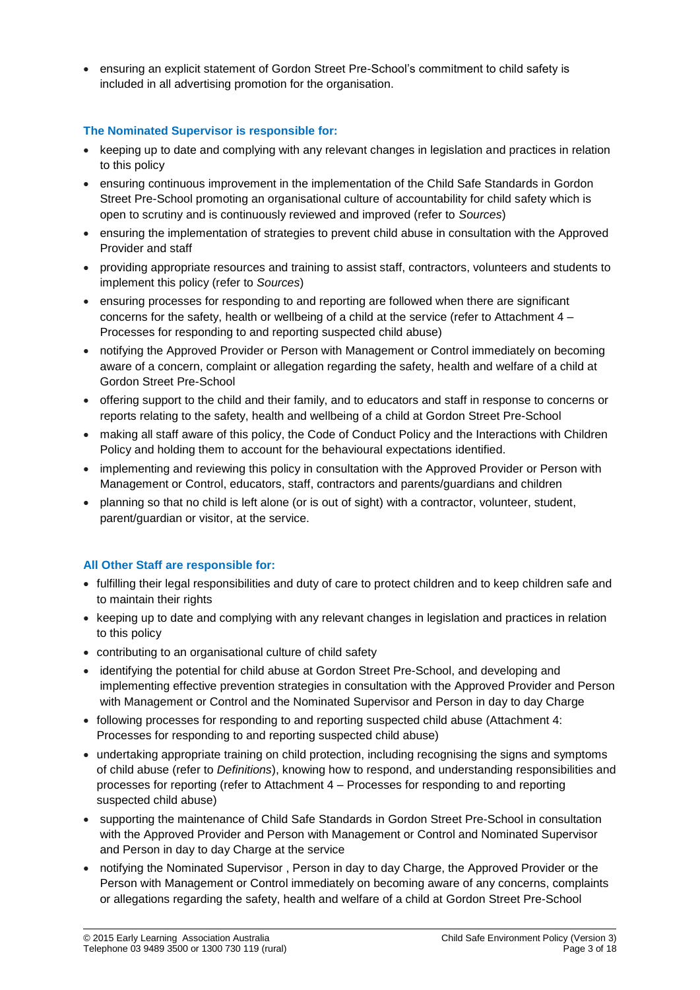• ensuring an explicit statement of Gordon Street Pre-School's commitment to child safety is included in all advertising promotion for the organisation.

## **The Nominated Supervisor is responsible for:**

- keeping up to date and complying with any relevant changes in legislation and practices in relation to this policy
- ensuring continuous improvement in the implementation of the Child Safe Standards in Gordon Street Pre-School promoting an organisational culture of accountability for child safety which is open to scrutiny and is continuously reviewed and improved (refer to *Sources*)
- ensuring the implementation of strategies to prevent child abuse in consultation with the Approved Provider and staff
- providing appropriate resources and training to assist staff, contractors, volunteers and students to implement this policy (refer to *Sources*)
- ensuring processes for responding to and reporting are followed when there are significant concerns for the safety, health or wellbeing of a child at the service (refer to Attachment 4 – Processes for responding to and reporting suspected child abuse)
- notifying the Approved Provider or Person with Management or Control immediately on becoming aware of a concern, complaint or allegation regarding the safety, health and welfare of a child at Gordon Street Pre-School
- offering support to the child and their family, and to educators and staff in response to concerns or reports relating to the safety, health and wellbeing of a child at Gordon Street Pre-School
- making all staff aware of this policy, the Code of Conduct Policy and the Interactions with Children Policy and holding them to account for the behavioural expectations identified.
- implementing and reviewing this policy in consultation with the Approved Provider or Person with Management or Control, educators, staff, contractors and parents/guardians and children
- planning so that no child is left alone (or is out of sight) with a contractor, volunteer, student, parent/guardian or visitor, at the service.

## **All Other Staff are responsible for:**

- fulfilling their legal responsibilities and duty of care to protect children and to keep children safe and to maintain their rights
- keeping up to date and complying with any relevant changes in legislation and practices in relation to this policy
- contributing to an organisational culture of child safety
- identifying the potential for child abuse at Gordon Street Pre-School, and developing and implementing effective prevention strategies in consultation with the Approved Provider and Person with Management or Control and the Nominated Supervisor and Person in day to day Charge
- following processes for responding to and reporting suspected child abuse (Attachment 4: Processes for responding to and reporting suspected child abuse)
- undertaking appropriate training on child protection, including recognising the signs and symptoms of child abuse (refer to *Definitions*), knowing how to respond, and understanding responsibilities and processes for reporting (refer to Attachment 4 – Processes for responding to and reporting suspected child abuse)
- supporting the maintenance of Child Safe Standards in Gordon Street Pre-School in consultation with the Approved Provider and Person with Management or Control and Nominated Supervisor and Person in day to day Charge at the service
- notifying the Nominated Supervisor , Person in day to day Charge, the Approved Provider or the Person with Management or Control immediately on becoming aware of any concerns, complaints or allegations regarding the safety, health and welfare of a child at Gordon Street Pre-School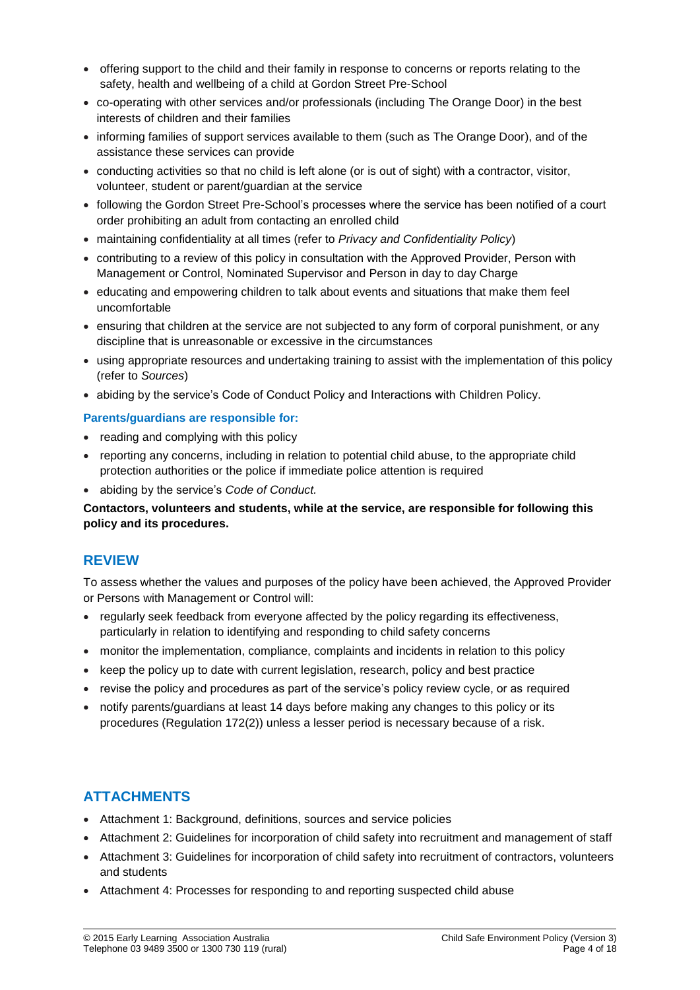- offering support to the child and their family in response to concerns or reports relating to the safety, health and wellbeing of a child at Gordon Street Pre-School
- co-operating with other services and/or professionals (including The Orange Door) in the best interests of children and their families
- informing families of support services available to them (such as The Orange Door), and of the assistance these services can provide
- conducting activities so that no child is left alone (or is out of sight) with a contractor, visitor, volunteer, student or parent/guardian at the service
- following the Gordon Street Pre-School's processes where the service has been notified of a court order prohibiting an adult from contacting an enrolled child
- maintaining confidentiality at all times (refer to *Privacy and Confidentiality Policy*)
- contributing to a review of this policy in consultation with the Approved Provider, Person with Management or Control, Nominated Supervisor and Person in day to day Charge
- educating and empowering children to talk about events and situations that make them feel uncomfortable
- ensuring that children at the service are not subjected to any form of corporal punishment, or any discipline that is unreasonable or excessive in the circumstances
- using appropriate resources and undertaking training to assist with the implementation of this policy (refer to *Sources*)
- abiding by the service's Code of Conduct Policy and Interactions with Children Policy.

## **Parents/guardians are responsible for:**

- reading and complying with this policy
- reporting any concerns, including in relation to potential child abuse, to the appropriate child protection authorities or the police if immediate police attention is required
- abiding by the service's *Code of Conduct.*

**Contactors, volunteers and students, while at the service, are responsible for following this policy and its procedures.**

## **REVIEW**

To assess whether the values and purposes of the policy have been achieved, the Approved Provider or Persons with Management or Control will:

- regularly seek feedback from everyone affected by the policy regarding its effectiveness, particularly in relation to identifying and responding to child safety concerns
- monitor the implementation, compliance, complaints and incidents in relation to this policy
- keep the policy up to date with current legislation, research, policy and best practice
- revise the policy and procedures as part of the service's policy review cycle, or as required
- notify parents/guardians at least 14 days before making any changes to this policy or its procedures (Regulation 172(2)) unless a lesser period is necessary because of a risk.

## **ATTACHMENTS**

- Attachment 1: Background, definitions, sources and service policies
- Attachment 2: Guidelines for incorporation of child safety into recruitment and management of staff
- Attachment 3: Guidelines for incorporation of child safety into recruitment of contractors, volunteers and students
- Attachment 4: Processes for responding to and reporting suspected child abuse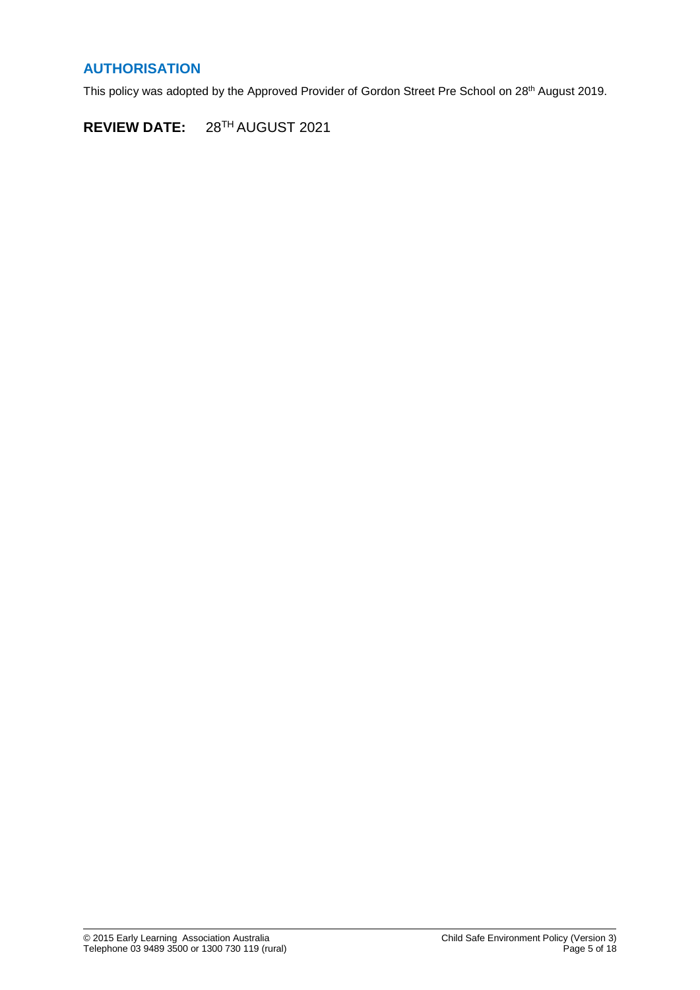## **AUTHORISATION**

This policy was adopted by the Approved Provider of Gordon Street Pre School on 28<sup>th</sup> August 2019.

**REVIEW DATE:** 28<sup>TH</sup> AUGUST 2021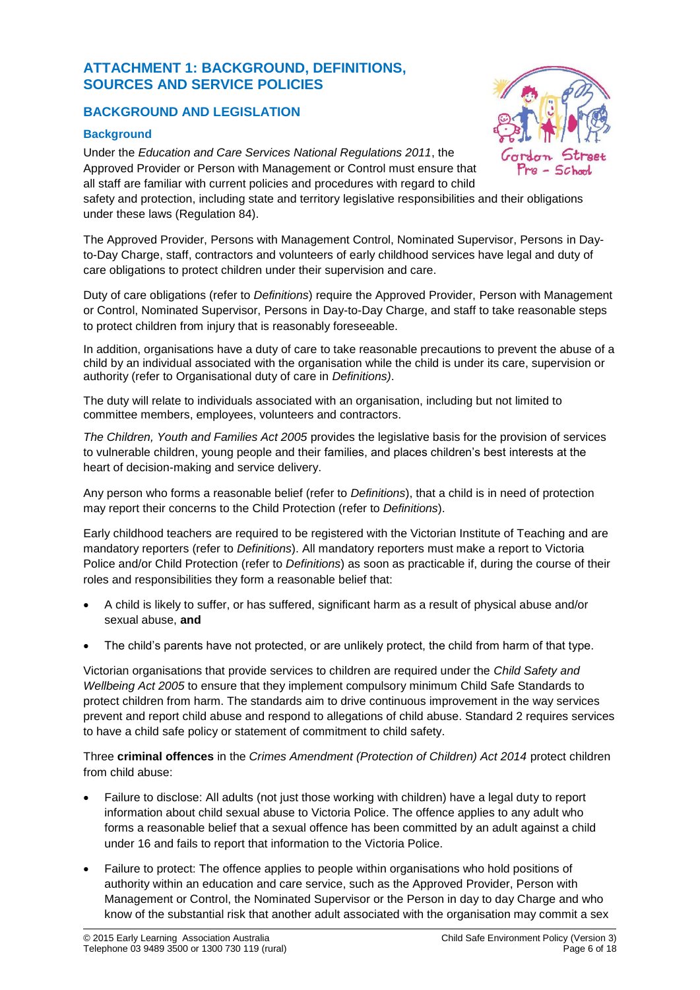## **ATTACHMENT 1: BACKGROUND, DEFINITIONS, SOURCES AND SERVICE POLICIES**

## **BACKGROUND AND LEGISLATION**

## **Background**

Under the *Education and Care Services National Regulations 2011*, the Approved Provider or Person with Management or Control must ensure that all staff are familiar with current policies and procedures with regard to child

safety and protection, including state and territory legislative responsibilities and their obligations under these laws (Regulation 84).

The Approved Provider, Persons with Management Control, Nominated Supervisor, Persons in Dayto-Day Charge, staff, contractors and volunteers of early childhood services have legal and duty of care obligations to protect children under their supervision and care.

Duty of care obligations (refer to *Definitions*) require the Approved Provider, Person with Management or Control, Nominated Supervisor, Persons in Day-to-Day Charge, and staff to take reasonable steps to protect children from injury that is reasonably foreseeable.

In addition, organisations have a duty of care to take reasonable precautions to prevent the abuse of a child by an individual associated with the organisation while the child is under its care, supervision or authority (refer to Organisational duty of care in *Definitions)*.

The duty will relate to individuals associated with an organisation, including but not limited to committee members, employees, volunteers and contractors.

*The Children, Youth and Families Act 2005* provides the legislative basis for the provision of services to vulnerable children, young people and their families, and places children's best interests at the heart of decision-making and service delivery.

Any person who forms a reasonable belief (refer to *Definitions*), that a child is in need of protection may report their concerns to the Child Protection (refer to *Definitions*).

Early childhood teachers are required to be registered with the Victorian Institute of Teaching and are mandatory reporters (refer to *Definitions*). All mandatory reporters must make a report to Victoria Police and/or Child Protection (refer to *Definitions*) as soon as practicable if, during the course of their roles and responsibilities they form a reasonable belief that:

- A child is likely to suffer, or has suffered, significant harm as a result of physical abuse and/or sexual abuse, **and**
- The child's parents have not protected, or are unlikely protect, the child from harm of that type.

Victorian organisations that provide services to children are required under the *Child Safety and Wellbeing Act 2005* to ensure that they implement compulsory minimum Child Safe Standards to protect children from harm. The standards aim to drive continuous improvement in the way services prevent and report child abuse and respond to allegations of child abuse. Standard 2 requires services to have a child safe policy or statement of commitment to child safety.

Three **criminal offences** in the *Crimes Amendment (Protection of Children) Act 2014* protect children from child abuse:

- Failure to disclose: All adults (not just those working with children) have a legal duty to report information about child sexual abuse to Victoria Police. The offence applies to any adult who forms a reasonable belief that a sexual offence has been committed by an adult against a child under 16 and fails to report that information to the Victoria Police.
- Failure to protect: The offence applies to people within organisations who hold positions of authority within an education and care service, such as the Approved Provider, Person with Management or Control, the Nominated Supervisor or the Person in day to day Charge and who know of the substantial risk that another adult associated with the organisation may commit a sex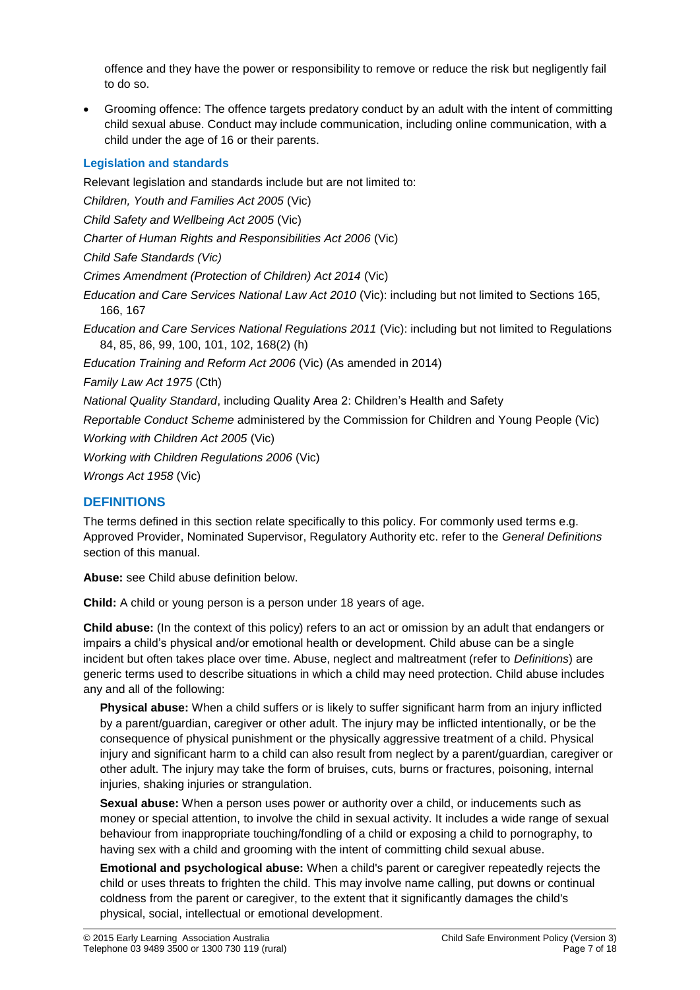offence and they have the power or responsibility to remove or reduce the risk but negligently fail to do so.

• Grooming offence: The offence targets predatory conduct by an adult with the intent of committing child sexual abuse. Conduct may include communication, including online communication, with a child under the age of 16 or their parents.

## **Legislation and standards**

Relevant legislation and standards include but are not limited to: *Children, Youth and Families Act 2005* (Vic) *Child Safety and Wellbeing Act 2005* (Vic) *Charter of Human Rights and Responsibilities Act 2006* (Vic) *Child Safe Standards (Vic) Crimes Amendment (Protection of Children) Act 2014* (Vic) *Education and Care Services National Law Act 2010* (Vic): including but not limited to Sections 165, 166, 167 *Education and Care Services National Regulations 2011* (Vic): including but not limited to Regulations 84, 85, 86, 99, 100, 101, 102, 168(2) (h) *Education Training and Reform Act 2006* (Vic) (As amended in 2014) *Family Law Act 1975* (Cth) *National Quality Standard*, including Quality Area 2: Children's Health and Safety *Reportable Conduct Scheme* administered by the Commission for Children and Young People (Vic) *Working with Children Act 2005* (Vic) *Working with Children Regulations 2006* (Vic) *Wrongs Act 1958* (Vic)

## **DEFINITIONS**

The terms defined in this section relate specifically to this policy. For commonly used terms e.g. Approved Provider, Nominated Supervisor, Regulatory Authority etc. refer to the *General Definitions* section of this manual.

**Abuse:** see Child abuse definition below.

**Child:** A child or young person is a person under 18 years of age.

**Child abuse:** (In the context of this policy) refers to an act or omission by an adult that endangers or impairs a child's physical and/or emotional health or development. Child abuse can be a single incident but often takes place over time. Abuse, neglect and maltreatment (refer to *Definitions*) are generic terms used to describe situations in which a child may need protection. Child abuse includes any and all of the following:

**Physical abuse:** When a child suffers or is likely to suffer significant harm from an injury inflicted by a parent/guardian, caregiver or other adult. The injury may be inflicted intentionally, or be the consequence of physical punishment or the physically aggressive treatment of a child. Physical injury and significant harm to a child can also result from neglect by a parent/guardian, caregiver or other adult. The injury may take the form of bruises, cuts, burns or fractures, poisoning, internal injuries, shaking injuries or strangulation.

**Sexual abuse:** When a person uses power or authority over a child, or inducements such as money or special attention, to involve the child in sexual activity. It includes a wide range of sexual behaviour from inappropriate touching/fondling of a child or exposing a child to pornography, to having sex with a child and grooming with the intent of committing child sexual abuse.

**Emotional and psychological abuse:** When a child's parent or caregiver repeatedly rejects the child or uses threats to frighten the child. This may involve name calling, put downs or continual coldness from the parent or caregiver, to the extent that it significantly damages the child's physical, social, intellectual or emotional development.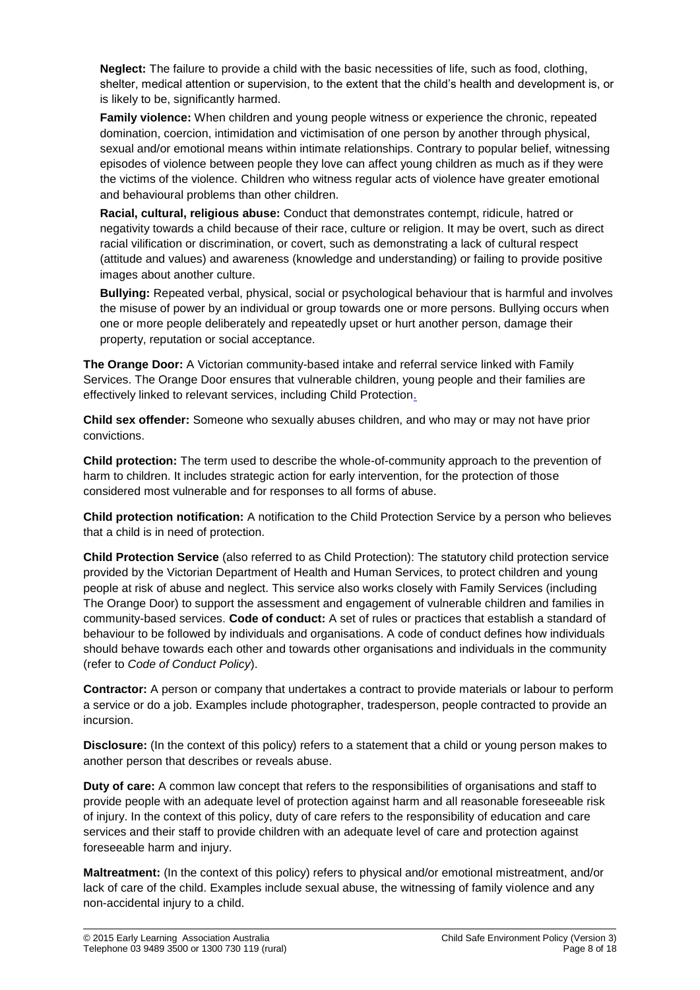**Neglect:** The failure to provide a child with the basic necessities of life, such as food, clothing, shelter, medical attention or supervision, to the extent that the child's health and development is, or is likely to be, significantly harmed.

**Family violence:** When children and young people witness or experience the chronic, repeated domination, coercion, intimidation and victimisation of one person by another through physical, sexual and/or emotional means within intimate relationships. Contrary to popular belief, witnessing episodes of violence between people they love can affect young children as much as if they were the victims of the violence. Children who witness regular acts of violence have greater emotional and behavioural problems than other children.

**Racial, cultural, religious abuse:** Conduct that demonstrates contempt, ridicule, hatred or negativity towards a child because of their race, culture or religion. It may be overt, such as direct racial vilification or discrimination, or covert, such as demonstrating a lack of cultural respect (attitude and values) and awareness (knowledge and understanding) or failing to provide positive images about another culture.

**Bullying:** Repeated verbal, physical, social or psychological behaviour that is harmful and involves the misuse of power by an individual or group towards one or more persons. Bullying occurs when one or more people deliberately and repeatedly upset or hurt another person, damage their property, reputation or social acceptance.

**The Orange Door:** A Victorian community-based intake and referral service linked with Family Services. The Orange Door ensures that vulnerable children, young people and their families are effectively linked to relevant services, including Child Protection.

**Child sex offender:** Someone who sexually abuses children, and who may or may not have prior convictions.

**Child protection:** The term used to describe the whole-of-community approach to the prevention of harm to children. It includes strategic action for early intervention, for the protection of those considered most vulnerable and for responses to all forms of abuse.

**Child protection notification:** A notification to the Child Protection Service by a person who believes that a child is in need of protection.

**Child Protection Service** (also referred to as Child Protection): The statutory child protection service provided by the Victorian Department of Health and Human Services, to protect children and young people at risk of abuse and neglect. This service also works closely with Family Services (including The Orange Door) to support the assessment and engagement of vulnerable children and families in community-based services. **Code of conduct:** A set of rules or practices that establish a standard of behaviour to be followed by individuals and organisations. A code of conduct defines how individuals should behave towards each other and towards other organisations and individuals in the community (refer to *Code of Conduct Policy*).

**Contractor:** A person or company that undertakes a contract to provide materials or labour to perform a service or do a job. Examples include photographer, tradesperson, people contracted to provide an incursion.

**Disclosure:** (In the context of this policy) refers to a statement that a child or young person makes to another person that describes or reveals abuse.

**Duty of care:** A common law concept that refers to the responsibilities of organisations and staff to provide people with an adequate level of protection against harm and all reasonable foreseeable risk of injury. In the context of this policy, duty of care refers to the responsibility of education and care services and their staff to provide children with an adequate level of care and protection against foreseeable harm and injury.

**Maltreatment:** (In the context of this policy) refers to physical and/or emotional mistreatment, and/or lack of care of the child. Examples include sexual abuse, the witnessing of family violence and any non-accidental injury to a child.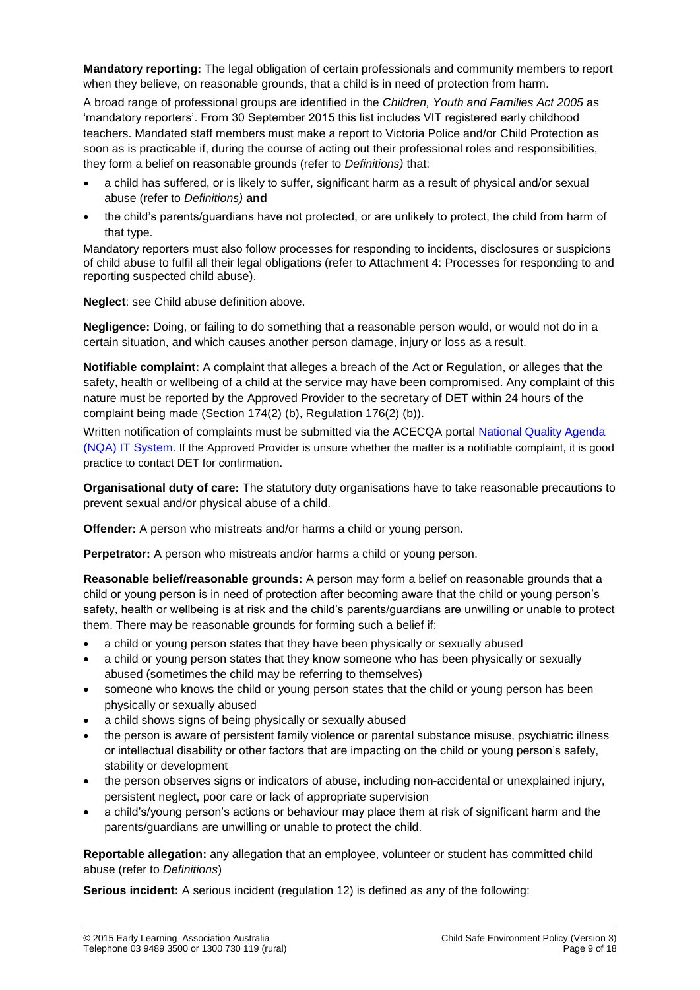**Mandatory reporting:** The legal obligation of certain professionals and community members to report when they believe, on reasonable grounds, that a child is in need of protection from harm.

A broad range of professional groups are identified in the *Children, Youth and Families Act 2005* as 'mandatory reporters'. From 30 September 2015 this list includes VIT registered early childhood teachers. Mandated staff members must make a report to Victoria Police and/or Child Protection as soon as is practicable if, during the course of acting out their professional roles and responsibilities, they form a belief on reasonable grounds (refer to *Definitions)* that:

- a child has suffered, or is likely to suffer, significant harm as a result of physical and/or sexual abuse (refer to *Definitions)* **and**
- the child's parents/guardians have not protected, or are unlikely to protect, the child from harm of that type.

Mandatory reporters must also follow processes for responding to incidents, disclosures or suspicions of child abuse to fulfil all their legal obligations (refer to Attachment 4: Processes for responding to and reporting suspected child abuse).

**Neglect**: see Child abuse definition above.

**Negligence:** Doing, or failing to do something that a reasonable person would, or would not do in a certain situation, and which causes another person damage, injury or loss as a result.

**Notifiable complaint:** A complaint that alleges a breach of the Act or Regulation, or alleges that the safety, health or wellbeing of a child at the service may have been compromised. Any complaint of this nature must be reported by the Approved Provider to the secretary of DET within 24 hours of the complaint being made (Section 174(2) (b), Regulation 176(2) (b)).

Written notification of complaints must be submitted via the ACECQA portal [National Quality Agenda](https://public.nqaits.acecqa.gov.au/Pages/Landing.aspx)  [\(NQA\) IT System](https://public.nqaits.acecqa.gov.au/Pages/Landing.aspx). If the Approved Provider is unsure whether the matter is a notifiable complaint, it is good practice to contact DET for confirmation.

**Organisational duty of care:** The statutory duty organisations have to take reasonable precautions to prevent sexual and/or physical abuse of a child.

**Offender:** A person who mistreats and/or harms a child or young person.

**Perpetrator:** A person who mistreats and/or harms a child or young person.

**Reasonable belief/reasonable grounds:** A person may form a belief on reasonable grounds that a child or young person is in need of protection after becoming aware that the child or young person's safety, health or wellbeing is at risk and the child's parents/guardians are unwilling or unable to protect them. There may be reasonable grounds for forming such a belief if:

- a child or young person states that they have been physically or sexually abused
- a child or young person states that they know someone who has been physically or sexually abused (sometimes the child may be referring to themselves)
- someone who knows the child or young person states that the child or young person has been physically or sexually abused
- a child shows signs of being physically or sexually abused
- the person is aware of persistent family violence or parental substance misuse, psychiatric illness or intellectual disability or other factors that are impacting on the child or young person's safety, stability or development
- the person observes signs or indicators of abuse, including non-accidental or unexplained injury, persistent neglect, poor care or lack of appropriate supervision
- a child's/young person's actions or behaviour may place them at risk of significant harm and the parents/guardians are unwilling or unable to protect the child.

**Reportable allegation:** any allegation that an employee, volunteer or student has committed child abuse (refer to *Definitions*)

**Serious incident:** A serious incident (regulation 12) is defined as any of the following: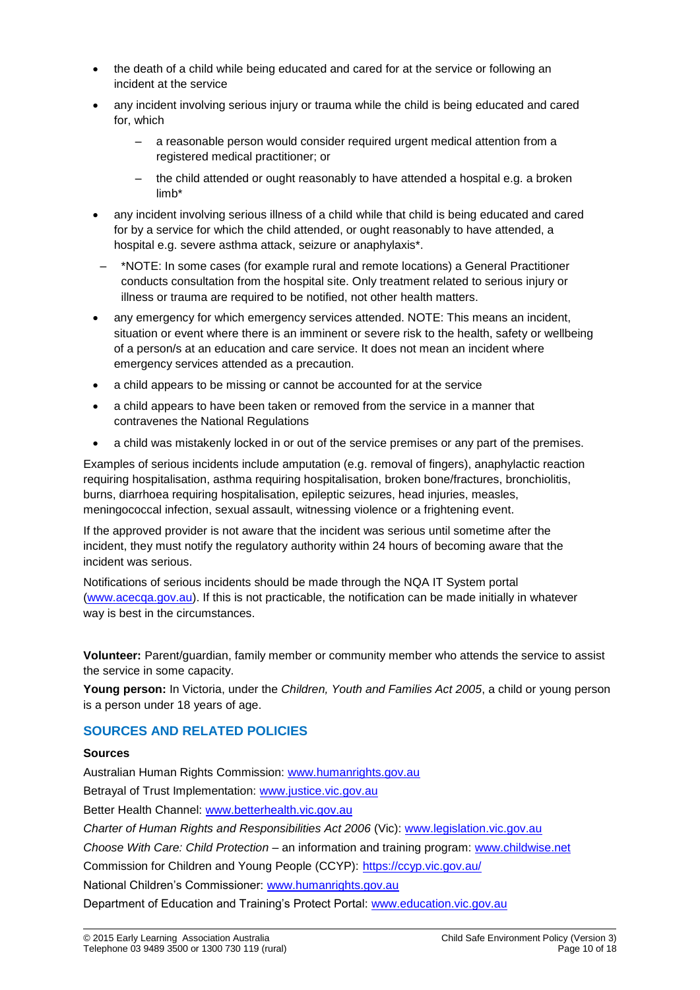- the death of a child while being educated and cared for at the service or following an incident at the service
- any incident involving serious injury or trauma while the child is being educated and cared for, which
	- a reasonable person would consider required urgent medical attention from a registered medical practitioner; or
	- the child attended or ought reasonably to have attended a hospital e.g. a broken limb\*
- any incident involving serious illness of a child while that child is being educated and cared for by a service for which the child attended, or ought reasonably to have attended, a hospital e.g. severe asthma attack, seizure or anaphylaxis\*.
- \*NOTE: In some cases (for example rural and remote locations) a General Practitioner conducts consultation from the hospital site. Only treatment related to serious injury or illness or trauma are required to be notified, not other health matters.
- any emergency for which emergency services attended. NOTE: This means an incident, situation or event where there is an imminent or severe risk to the health, safety or wellbeing of a person/s at an education and care service. It does not mean an incident where emergency services attended as a precaution.
- a child appears to be missing or cannot be accounted for at the service
- a child appears to have been taken or removed from the service in a manner that contravenes the National Regulations
- a child was mistakenly locked in or out of the service premises or any part of the premises.

Examples of serious incidents include amputation (e.g. removal of fingers), anaphylactic reaction requiring hospitalisation, asthma requiring hospitalisation, broken bone/fractures, bronchiolitis, burns, diarrhoea requiring hospitalisation, epileptic seizures, head injuries, measles, meningococcal infection, sexual assault, witnessing violence or a frightening event.

If the approved provider is not aware that the incident was serious until sometime after the incident, they must notify the regulatory authority within 24 hours of becoming aware that the incident was serious.

Notifications of serious incidents should be made through the NQA IT System portal [\(www.acecqa.gov.au\)](http://www.acecqa.gov.au/). If this is not practicable, the notification can be made initially in whatever way is best in the circumstances.

**Volunteer:** Parent/guardian, family member or community member who attends the service to assist the service in some capacity.

**Young person:** In Victoria, under the *Children, Youth and Families Act 2005*, a child or young person is a person under 18 years of age.

## **SOURCES AND RELATED POLICIES**

#### **Sources**

Australian Human Rights Commission: [www.humanrights.gov.au](https://www.humanrights.gov.au/) Betrayal of Trust Implementation: [www.justice.vic.gov.au](http://www.justice.vic.gov.au/) Better Health Channel: [www.betterhealth.vic.gov.au](http://www.betterhealth.vic.gov.au/) *Charter of Human Rights and Responsibilities Act 2006* (Vic): [www.legislation.vic.gov.au](file://///kpv-sbs/data/BD&G/Communications/Publications/Policy%20Works/2018%20Final%20PolicyWorks/www.legislation.vic.gov.au) *Choose With Care: Child Protection* – an information and training program: [www.childwise.net](http://www.childwise.net/) Commission for Children and Young People (CCYP): <https://ccyp.vic.gov.au/> National Children's Commissioner: [www.humanrights.gov.au](http://www.humanrights.gov.au/) Department of Education and Training's Protect Portal: [www.education.vic.gov.au](http://www.education.vic.gov.au/Pages/default.aspx)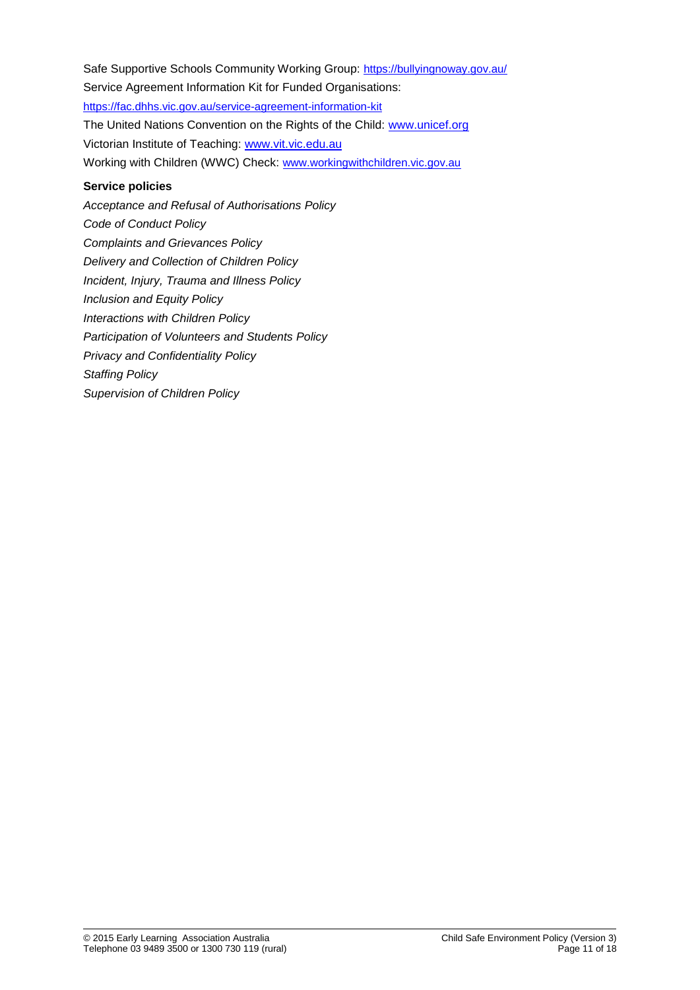Safe Supportive Schools Community Working Group: <https://bullyingnoway.gov.au/> Service Agreement Information Kit for Funded Organisations: <https://fac.dhhs.vic.gov.au/service-agreement-information-kit> The United Nations Convention on the Rights of the Child: [www.unicef.org](https://www.unicef.org/) Victorian Institute of Teaching: [www.vit.vic.edu.au](http://www.vit.vic.edu.au/) Working with Children (WWC) Check: [www.workingwithchildren.vic.gov.au](https://www.workingwithchildren.vic.gov.au/) **Service policies** *Acceptance and Refusal of Authorisations Policy*

*Code of Conduct Policy Complaints and Grievances Policy Delivery and Collection of Children Policy Incident, Injury, Trauma and Illness Policy Inclusion and Equity Policy Interactions with Children Policy Participation of Volunteers and Students Policy Privacy and Confidentiality Policy Staffing Policy Supervision of Children Policy*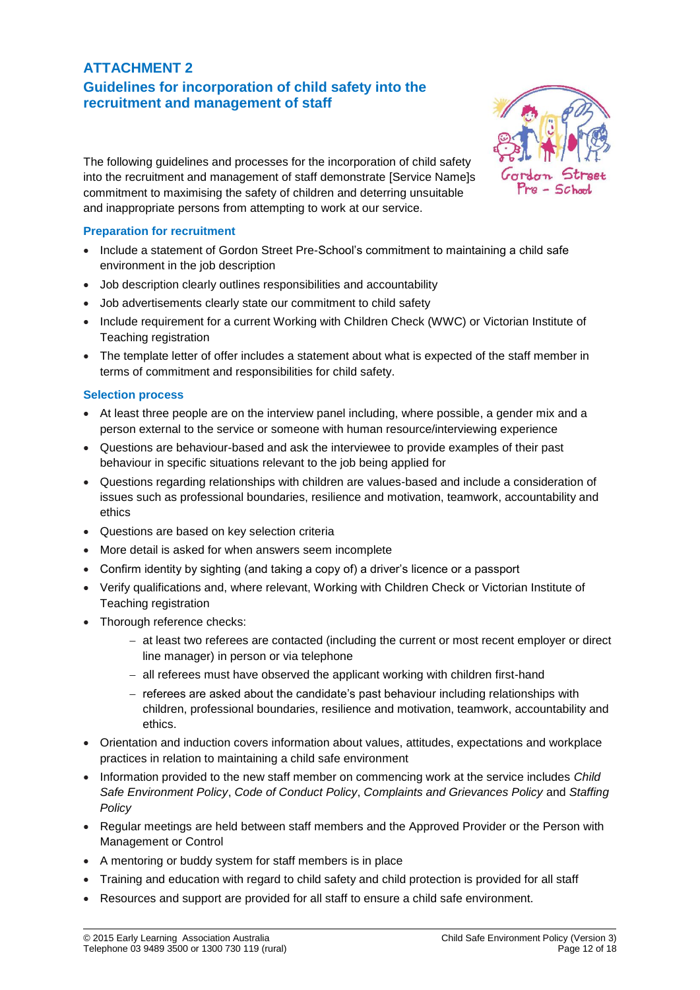## **ATTACHMENT 2 Guidelines for incorporation of child safety into the recruitment and management of staff**



The following guidelines and processes for the incorporation of child safety into the recruitment and management of staff demonstrate [Service Name]s commitment to maximising the safety of children and deterring unsuitable and inappropriate persons from attempting to work at our service.

## **Preparation for recruitment**

- Include a statement of Gordon Street Pre-School's commitment to maintaining a child safe environment in the job description
- Job description clearly outlines responsibilities and accountability
- Job advertisements clearly state our commitment to child safety
- Include requirement for a current Working with Children Check (WWC) or Victorian Institute of Teaching registration
- The template letter of offer includes a statement about what is expected of the staff member in terms of commitment and responsibilities for child safety.

## **Selection process**

- At least three people are on the interview panel including, where possible, a gender mix and a person external to the service or someone with human resource/interviewing experience
- Questions are behaviour-based and ask the interviewee to provide examples of their past behaviour in specific situations relevant to the job being applied for
- Questions regarding relationships with children are values-based and include a consideration of issues such as professional boundaries, resilience and motivation, teamwork, accountability and ethics
- Questions are based on key selection criteria
- More detail is asked for when answers seem incomplete
- Confirm identity by sighting (and taking a copy of) a driver's licence or a passport
- Verify qualifications and, where relevant, Working with Children Check or Victorian Institute of Teaching registration
- Thorough reference checks:
	- − at least two referees are contacted (including the current or most recent employer or direct line manager) in person or via telephone
	- − all referees must have observed the applicant working with children first-hand
	- − referees are asked about the candidate's past behaviour including relationships with children, professional boundaries, resilience and motivation, teamwork, accountability and ethics.
- Orientation and induction covers information about values, attitudes, expectations and workplace practices in relation to maintaining a child safe environment
- Information provided to the new staff member on commencing work at the service includes *Child Safe Environment Policy*, *Code of Conduct Policy*, *Complaints and Grievances Policy* and *Staffing Policy*
- Regular meetings are held between staff members and the Approved Provider or the Person with Management or Control
- A mentoring or buddy system for staff members is in place
- Training and education with regard to child safety and child protection is provided for all staff
- Resources and support are provided for all staff to ensure a child safe environment.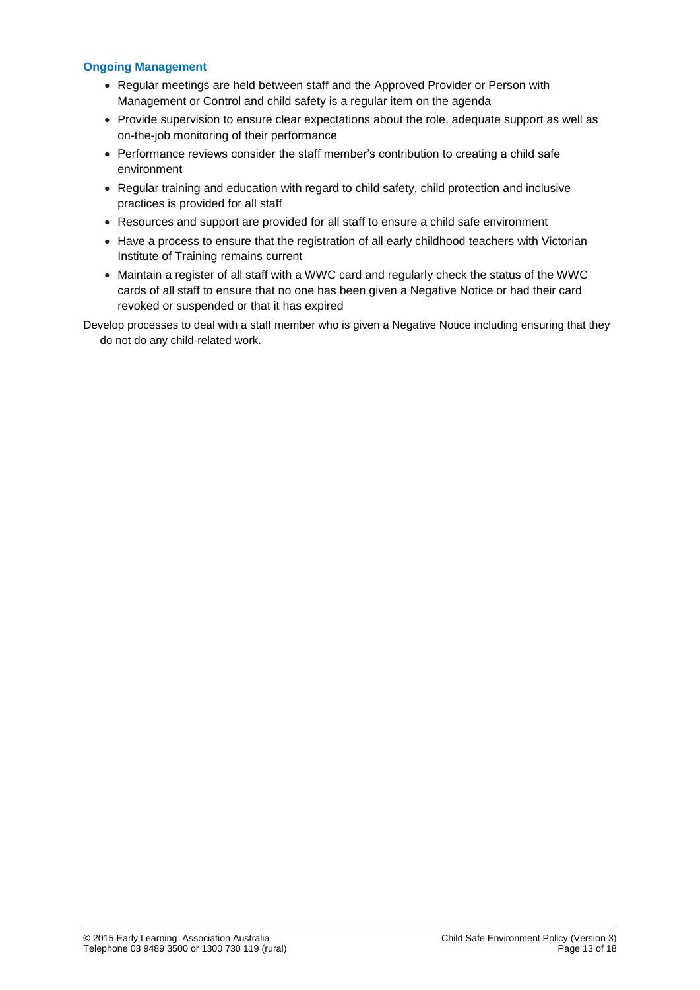#### **Ongoing Management**

- Regular meetings are held between staff and the Approved Provider or Person with Management or Control and child safety is a regular item on the agenda
- Provide supervision to ensure clear expectations about the role, adequate support as well as on-the-job monitoring of their performance
- Performance reviews consider the staff member's contribution to creating a child safe environment
- Regular training and education with regard to child safety, child protection and inclusive practices is provided for all staff
- Resources and support are provided for all staff to ensure a child safe environment
- Have a process to ensure that the registration of all early childhood teachers with Victorian Institute of Training remains current
- Maintain a register of all staff with a WWC card and regularly check the status of the WWC cards of all staff to ensure that no one has been given a Negative Notice or had their card revoked or suspended or that it has expired

Develop processes to deal with a staff member who is given a Negative Notice including ensuring that they do not do any child-related work.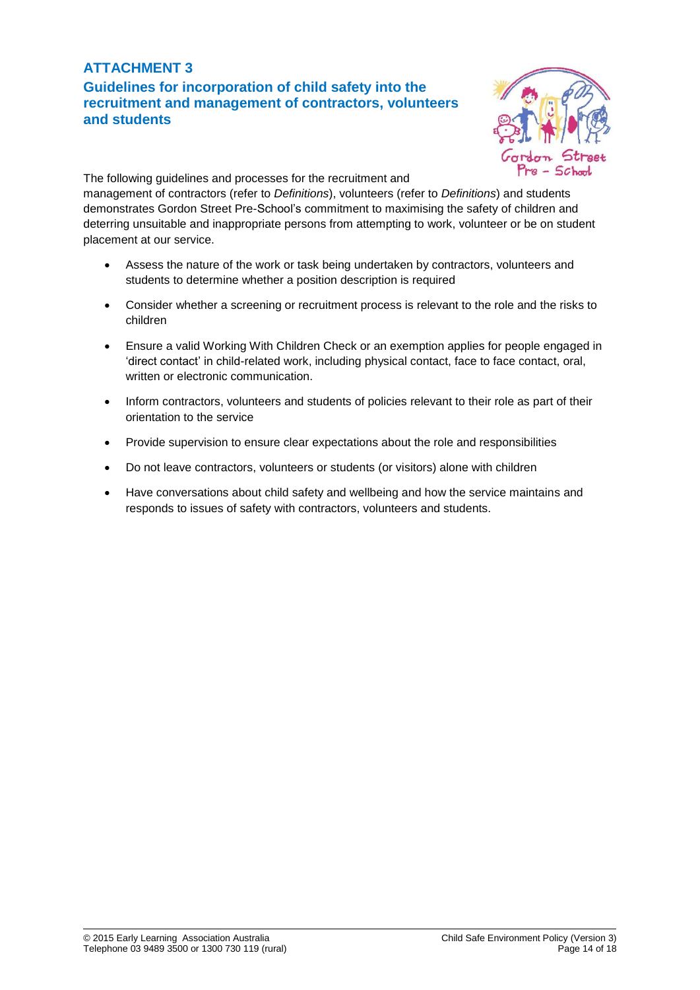## **ATTACHMENT 3 Guidelines for incorporation of child safety into the recruitment and management of contractors, volunteers**



**and students**

The following guidelines and processes for the recruitment and management of contractors (refer to *Definitions*), volunteers (refer to *Definitions*) and students demonstrates Gordon Street Pre-School's commitment to maximising the safety of children and deterring unsuitable and inappropriate persons from attempting to work, volunteer or be on student placement at our service.

- Assess the nature of the work or task being undertaken by contractors, volunteers and students to determine whether a position description is required
- Consider whether a screening or recruitment process is relevant to the role and the risks to children
- Ensure a valid Working With Children Check or an exemption applies for people engaged in 'direct contact' in child-related work, including physical contact, face to face contact, oral, written or electronic communication.
- Inform contractors, volunteers and students of policies relevant to their role as part of their orientation to the service
- Provide supervision to ensure clear expectations about the role and responsibilities
- Do not leave contractors, volunteers or students (or visitors) alone with children
- Have conversations about child safety and wellbeing and how the service maintains and responds to issues of safety with contractors, volunteers and students.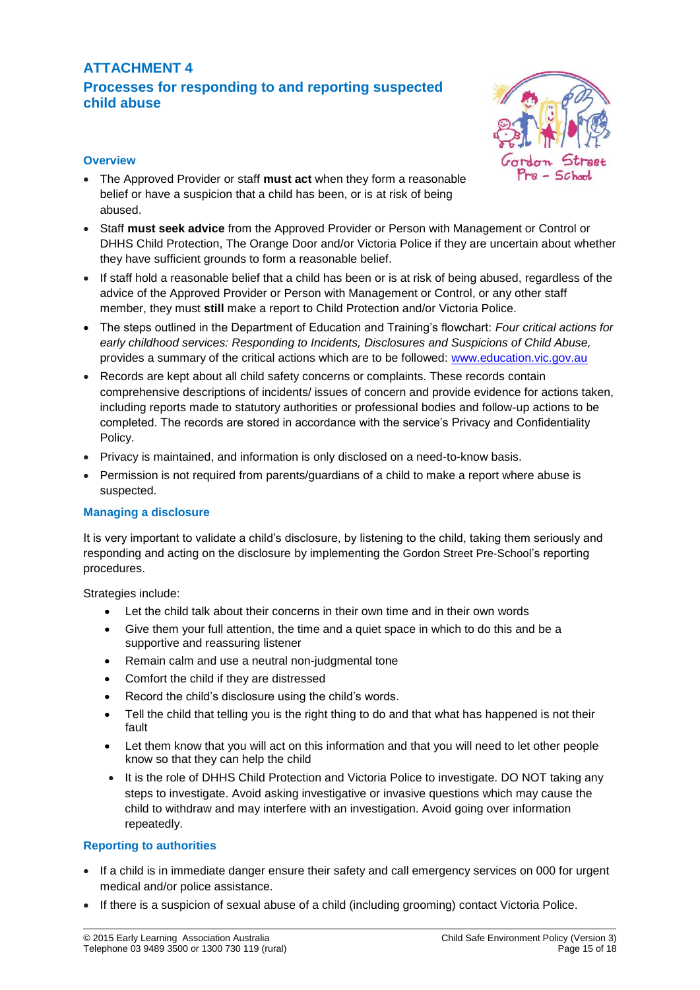## **ATTACHMENT 4 Processes for responding to and reporting suspected child abuse**



#### **Overview**

- The Approved Provider or staff **must act** when they form a reasonable belief or have a suspicion that a child has been, or is at risk of being abused.
- Staff **must seek advice** from the Approved Provider or Person with Management or Control or DHHS Child Protection, The Orange Door and/or Victoria Police if they are uncertain about whether they have sufficient grounds to form a reasonable belief.
- If staff hold a reasonable belief that a child has been or is at risk of being abused, regardless of the advice of the Approved Provider or Person with Management or Control, or any other staff member, they must **still** make a report to Child Protection and/or Victoria Police.
- The steps outlined in the Department of Education and Training's flowchart: *Four critical actions for early childhood services: Responding to Incidents, Disclosures and Suspicions of Child Abuse,*  provides a summary of the critical actions which are to be followed: [www.education.vic.gov.au](http://www.education.vic.gov.au/Pages/default.aspx)
- Records are kept about all child safety concerns or complaints. These records contain comprehensive descriptions of incidents/ issues of concern and provide evidence for actions taken, including reports made to statutory authorities or professional bodies and follow-up actions to be completed. The records are stored in accordance with the service's Privacy and Confidentiality Policy.
- Privacy is maintained, and information is only disclosed on a need-to-know basis.
- Permission is not required from parents/guardians of a child to make a report where abuse is suspected.

## **Managing a disclosure**

It is very important to validate a child's disclosure, by listening to the child, taking them seriously and responding and acting on the disclosure by implementing the Gordon Street Pre-School's reporting procedures.

Strategies include:

- Let the child talk about their concerns in their own time and in their own words
- Give them your full attention, the time and a quiet space in which to do this and be a supportive and reassuring listener
- Remain calm and use a neutral non-judgmental tone
- Comfort the child if they are distressed
- Record the child's disclosure using the child's words.
- Tell the child that telling you is the right thing to do and that what has happened is not their fault
- Let them know that you will act on this information and that you will need to let other people know so that they can help the child
- It is the role of DHHS Child Protection and Victoria Police to investigate. DO NOT taking any steps to investigate. Avoid asking investigative or invasive questions which may cause the child to withdraw and may interfere with an investigation. Avoid going over information repeatedly.

## **Reporting to authorities**

- If a child is in immediate danger ensure their safety and call emergency services on 000 for urgent medical and/or police assistance.
- If there is a suspicion of sexual abuse of a child (including grooming) contact Victoria Police.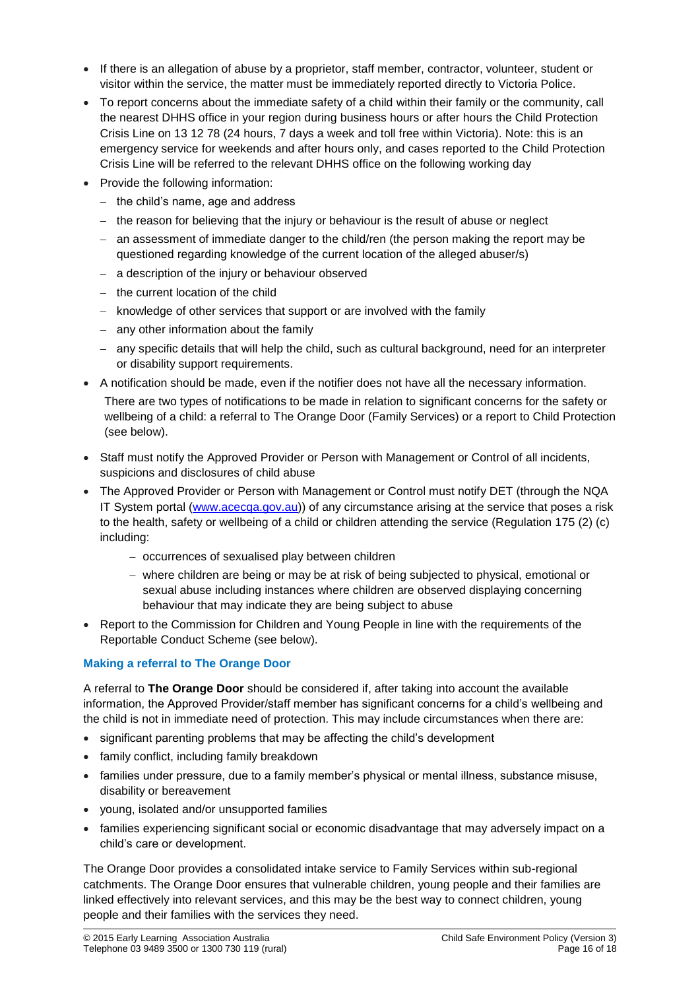- If there is an allegation of abuse by a proprietor, staff member, contractor, volunteer, student or visitor within the service, the matter must be immediately reported directly to Victoria Police.
- To report concerns about the immediate safety of a child within their family or the community, call the nearest DHHS office in your region during business hours or after hours the Child Protection Crisis Line on 13 12 78 (24 hours, 7 days a week and toll free within Victoria). Note: this is an emergency service for weekends and after hours only, and cases reported to the Child Protection Crisis Line will be referred to the relevant DHHS office on the following working day
- Provide the following information:
	- − the child's name, age and address
	- − the reason for believing that the injury or behaviour is the result of abuse or neglect
	- − an assessment of immediate danger to the child/ren (the person making the report may be questioned regarding knowledge of the current location of the alleged abuser/s)
	- − a description of the injury or behaviour observed
	- − the current location of the child
	- − knowledge of other services that support or are involved with the family
	- − any other information about the family
	- − any specific details that will help the child, such as cultural background, need for an interpreter or disability support requirements.
- A notification should be made, even if the notifier does not have all the necessary information.

There are two types of notifications to be made in relation to significant concerns for the safety or wellbeing of a child: a referral to The Orange Door (Family Services) or a report to Child Protection (see below).

- Staff must notify the Approved Provider or Person with Management or Control of all incidents, suspicions and disclosures of child abuse
- The Approved Provider or Person with Management or Control must notify DET (through the NQA IT System portal [\(www.acecqa.gov.au\)](http://www.acecqa.gov.au/)) of any circumstance arising at the service that poses a risk to the health, safety or wellbeing of a child or children attending the service (Regulation 175 (2) (c) including:
	- − occurrences of sexualised play between children
	- − where children are being or may be at risk of being subjected to physical, emotional or sexual abuse including instances where children are observed displaying concerning behaviour that may indicate they are being subject to abuse
- Report to the Commission for Children and Young People in line with the requirements of the Reportable Conduct Scheme (see below).

## **Making a referral to The Orange Door**

A referral to **The Orange Door** should be considered if, after taking into account the available information, the Approved Provider/staff member has significant concerns for a child's wellbeing and the child is not in immediate need of protection. This may include circumstances when there are:

- significant parenting problems that may be affecting the child's development
- family conflict, including family breakdown
- families under pressure, due to a family member's physical or mental illness, substance misuse, disability or bereavement
- young, isolated and/or unsupported families
- families experiencing significant social or economic disadvantage that may adversely impact on a child's care or development.

The Orange Door provides a consolidated intake service to Family Services within sub-regional catchments. The Orange Door ensures that vulnerable children, young people and their families are linked effectively into relevant services, and this may be the best way to connect children, young people and their families with the services they need.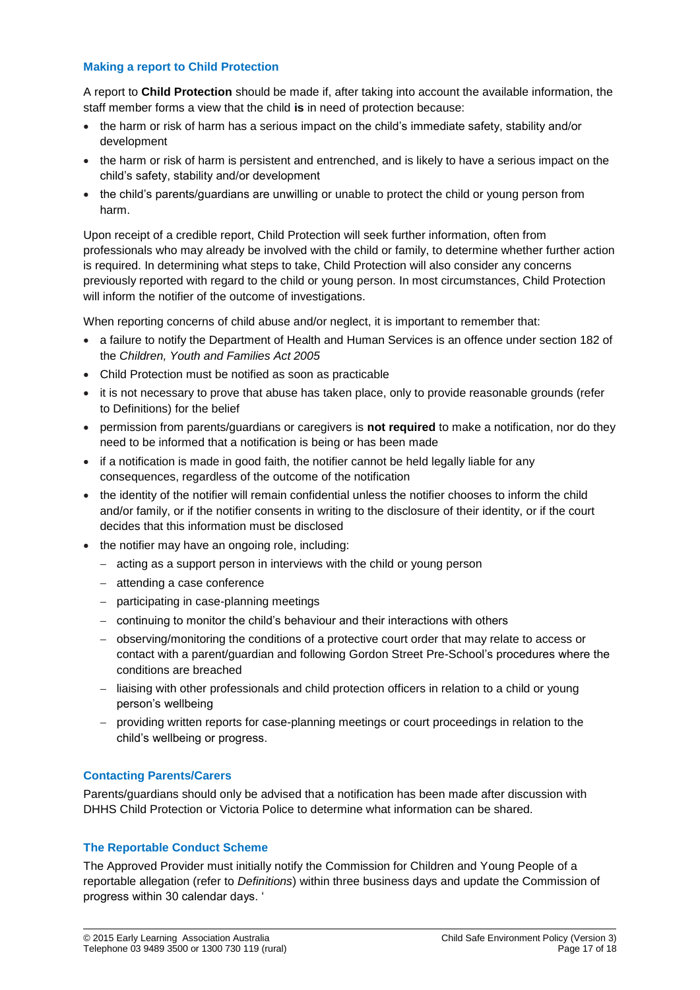#### **Making a report to Child Protection**

A report to **Child Protection** should be made if, after taking into account the available information, the staff member forms a view that the child **is** in need of protection because:

- the harm or risk of harm has a serious impact on the child's immediate safety, stability and/or development
- the harm or risk of harm is persistent and entrenched, and is likely to have a serious impact on the child's safety, stability and/or development
- the child's parents/guardians are unwilling or unable to protect the child or young person from harm.

Upon receipt of a credible report, Child Protection will seek further information, often from professionals who may already be involved with the child or family, to determine whether further action is required. In determining what steps to take, Child Protection will also consider any concerns previously reported with regard to the child or young person. In most circumstances, Child Protection will inform the notifier of the outcome of investigations.

When reporting concerns of child abuse and/or neglect, it is important to remember that:

- a failure to notify the Department of Health and Human Services is an offence under section 182 of the *Children, Youth and Families Act 2005*
- Child Protection must be notified as soon as practicable
- it is not necessary to prove that abuse has taken place, only to provide reasonable grounds (refer to Definitions) for the belief
- permission from parents/guardians or caregivers is **not required** to make a notification, nor do they need to be informed that a notification is being or has been made
- if a notification is made in good faith, the notifier cannot be held legally liable for any consequences, regardless of the outcome of the notification
- the identity of the notifier will remain confidential unless the notifier chooses to inform the child and/or family, or if the notifier consents in writing to the disclosure of their identity, or if the court decides that this information must be disclosed
- the notifier may have an ongoing role, including:
	- − acting as a support person in interviews with the child or young person
	- − attending a case conference
	- − participating in case-planning meetings
	- − continuing to monitor the child's behaviour and their interactions with others
	- − observing/monitoring the conditions of a protective court order that may relate to access or contact with a parent/guardian and following Gordon Street Pre-School's procedures where the conditions are breached
	- − liaising with other professionals and child protection officers in relation to a child or young person's wellbeing
	- − providing written reports for case-planning meetings or court proceedings in relation to the child's wellbeing or progress.

## **Contacting Parents/Carers**

Parents/guardians should only be advised that a notification has been made after discussion with DHHS Child Protection or Victoria Police to determine what information can be shared.

## **The Reportable Conduct Scheme**

The Approved Provider must initially notify the Commission for Children and Young People of a reportable allegation (refer to *Definitions*) within three business days and update the Commission of progress within 30 calendar days. '